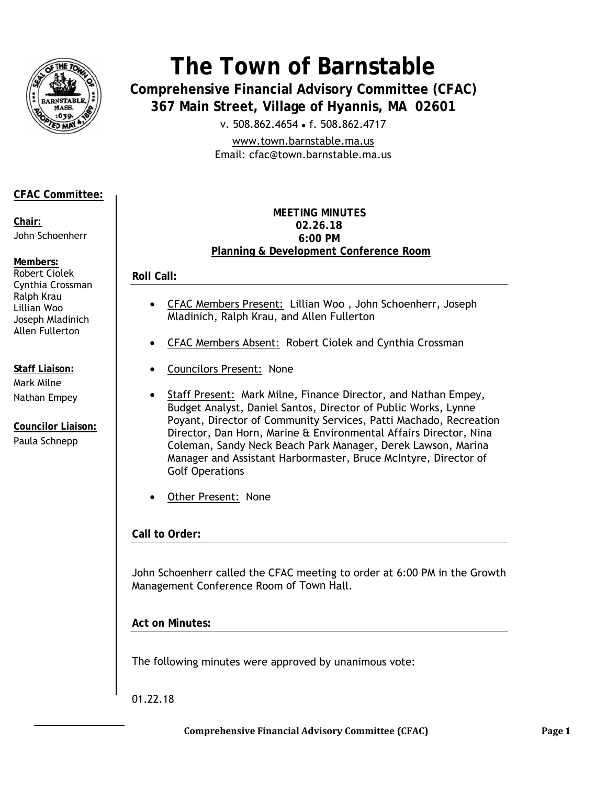

# The Town of Barnstable

**Comprehensive Financial Advisory Committee (CFAC)** 367 Main Street, Village of Hyannis, MA 02601

v. 508.862.4654 • f. 508.862.4717

www.town.barnstable.ma.us Email: cfac@town.barnstable.ma.us

## **CFAC Committee:**

Chair: John Schoenherr

Members: Robert Ciolek Cynthia Crossman Ralph Krau Lillian Woo Joseph Mladinich Allen Fullerton

**Staff Liaison:** Mark Milne Nathan Empey

**Councilor Liaison:** Paula Schnepp

#### **MEFTING MINUTES** 02.26.18  $6:00 \text{ PM}$ Planning & Development Conference Room

**Roll Call:** 

- $\bullet$ CFAC Members Present: Lillian Woo, John Schoenherr, Joseph Mladinich, Ralph Krau, and Allen Fullerton
- **CFAC Members Absent: Robert Ciolek and Cynthia Crossman**  $\bullet$
- Councilors Present: None
- Staff Present: Mark Milne, Finance Director, and Nathan Empey, Budget Analyst, Daniel Santos, Director of Public Works, Lynne Poyant, Director of Community Services, Patti Machado, Recreation Director, Dan Horn, Marine & Environmental Affairs Director, Nina Coleman, Sandy Neck Beach Park Manager, Derek Lawson, Marina Manager and Assistant Harbormaster, Bruce McIntyre, Director of **Golf Operations**
- Other Present: None

Call to Order:

John Schoenherr called the CFAC meeting to order at 6:00 PM in the Growth Management Conference Room of Town Hall.

**Act on Minutes:** 

The following minutes were approved by unanimous vote:

01.22.18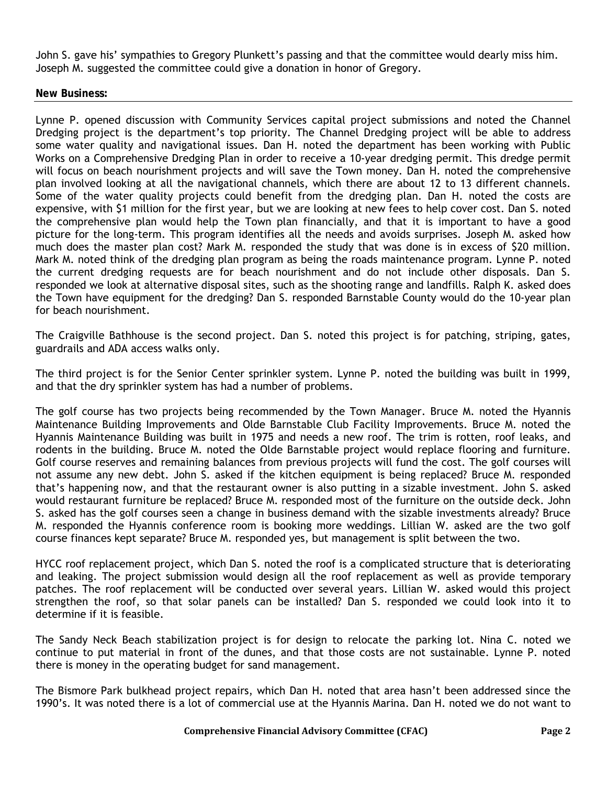John S. gave his' sympathies to Gregory Plunkett's passing and that the committee would dearly miss him. Joseph M. suggested the committee could give a donation in honor of Gregory.

#### **New Business:**

Lynne P. opened discussion with Community Services capital project submissions and noted the Channel Dredging project is the department's top priority. The Channel Dredging project will be able to address some water quality and navigational issues. Dan H. noted the department has been working with Public Works on a Comprehensive Dredging Plan in order to receive a 10-year dredging permit. This dredge permit will focus on beach nourishment projects and will save the Town money. Dan H. noted the comprehensive plan involved looking at all the navigational channels, which there are about 12 to 13 different channels. Some of the water quality projects could benefit from the dredging plan. Dan H. noted the costs are expensive, with \$1 million for the first year, but we are looking at new fees to help cover cost. Dan S. noted the comprehensive plan would help the Town plan financially, and that it is important to have a good picture for the long-term. This program identifies all the needs and avoids surprises. Joseph M. asked how much does the master plan cost? Mark M. responded the study that was done is in excess of \$20 million. Mark M. noted think of the dredging plan program as being the roads maintenance program. Lynne P. noted the current dredging requests are for beach nourishment and do not include other disposals. Dan S. responded we look at alternative disposal sites, such as the shooting range and landfills. Ralph K. asked does the Town have equipment for the dredging? Dan S. responded Barnstable County would do the 10-year plan for beach nourishment.

The Craigville Bathhouse is the second project. Dan S. noted this project is for patching, striping, gates, guardrails and ADA access walks only.

The third project is for the Senior Center sprinkler system. Lynne P. noted the building was built in 1999, and that the dry sprinkler system has had a number of problems.

The golf course has two projects being recommended by the Town Manager. Bruce M. noted the Hyannis Maintenance Building Improvements and Olde Barnstable Club Facility Improvements. Bruce M. noted the Hyannis Maintenance Building was built in 1975 and needs a new roof. The trim is rotten, roof leaks, and rodents in the building. Bruce M. noted the Olde Barnstable project would replace flooring and furniture. Golf course reserves and remaining balances from previous projects will fund the cost. The golf courses will not assume any new debt. John S. asked if the kitchen equipment is being replaced? Bruce M. responded that's happening now, and that the restaurant owner is also putting in a sizable investment. John S. asked would restaurant furniture be replaced? Bruce M. responded most of the furniture on the outside deck. John S. asked has the golf courses seen a change in business demand with the sizable investments already? Bruce M. responded the Hyannis conference room is booking more weddings. Lillian W. asked are the two golf course finances kept separate? Bruce M. responded yes, but management is split between the two.

HYCC roof replacement project, which Dan S. noted the roof is a complicated structure that is deteriorating and leaking. The project submission would design all the roof replacement as well as provide temporary patches. The roof replacement will be conducted over several years. Lillian W. asked would this project strengthen the roof, so that solar panels can be installed? Dan S. responded we could look into it to determine if it is feasible.

The Sandy Neck Beach stabilization project is for design to relocate the parking lot. Nina C. noted we continue to put material in front of the dunes, and that those costs are not sustainable. Lynne P. noted there is money in the operating budget for sand management.

The Bismore Park bulkhead project repairs, which Dan H. noted that area hasn't been addressed since the 1990's. It was noted there is a lot of commercial use at the Hyannis Marina. Dan H. noted we do not want to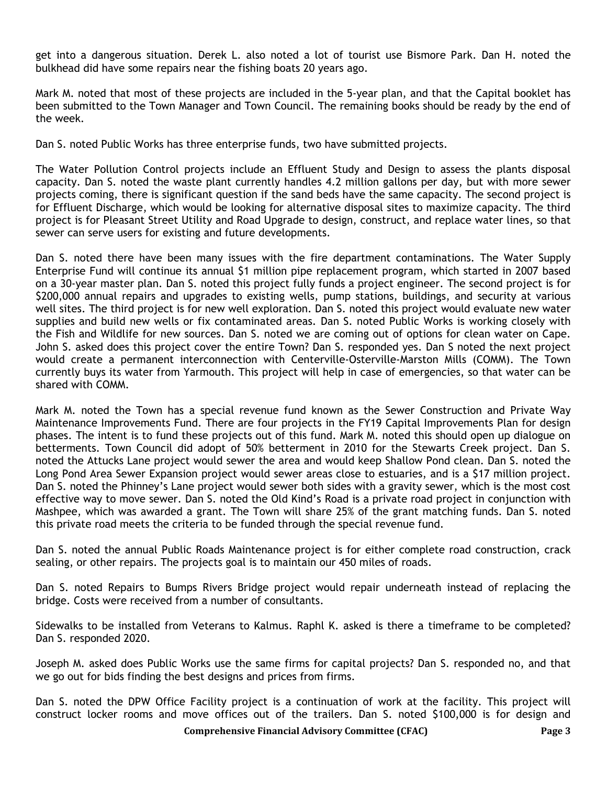get into a dangerous situation. Derek L. also noted a lot of tourist use Bismore Park. Dan H. noted the bulkhead did have some repairs near the fishing boats 20 years ago.

Mark M. noted that most of these projects are included in the 5-year plan, and that the Capital booklet has been submitted to the Town Manager and Town Council. The remaining books should be ready by the end of the week.

Dan S. noted Public Works has three enterprise funds, two have submitted projects.

The Water Pollution Control projects include an Effluent Study and Design to assess the plants disposal capacity. Dan S. noted the waste plant currently handles 4.2 million gallons per day, but with more sewer projects coming, there is significant question if the sand beds have the same capacity. The second project is for Effluent Discharge, which would be looking for alternative disposal sites to maximize capacity. The third project is for Pleasant Street Utility and Road Upgrade to design, construct, and replace water lines, so that sewer can serve users for existing and future developments.

Dan S. noted there have been many issues with the fire department contaminations. The Water Supply Enterprise Fund will continue its annual \$1 million pipe replacement program, which started in 2007 based on a 30-year master plan. Dan S. noted this project fully funds a project engineer. The second project is for \$200,000 annual repairs and upgrades to existing wells, pump stations, buildings, and security at various well sites. The third project is for new well exploration. Dan S. noted this project would evaluate new water supplies and build new wells or fix contaminated areas. Dan S. noted Public Works is working closely with the Fish and Wildlife for new sources. Dan S. noted we are coming out of options for clean water on Cape. John S. asked does this project cover the entire Town? Dan S. responded yes. Dan S noted the next project would create a permanent interconnection with Centerville-Osterville-Marston Mills (COMM). The Town currently buys its water from Yarmouth. This project will help in case of emergencies, so that water can be shared with COMM.

Mark M. noted the Town has a special revenue fund known as the Sewer Construction and Private Way Maintenance Improvements Fund. There are four projects in the FY19 Capital Improvements Plan for design phases. The intent is to fund these projects out of this fund. Mark M. noted this should open up dialogue on betterments. Town Council did adopt of 50% betterment in 2010 for the Stewarts Creek project. Dan S. noted the Attucks Lane project would sewer the area and would keep Shallow Pond clean. Dan S. noted the Long Pond Area Sewer Expansion project would sewer areas close to estuaries, and is a \$17 million project. Dan S. noted the Phinney's Lane project would sewer both sides with a gravity sewer, which is the most cost effective way to move sewer. Dan S. noted the Old Kind's Road is a private road project in conjunction with Mashpee, which was awarded a grant. The Town will share 25% of the grant matching funds. Dan S. noted this private road meets the criteria to be funded through the special revenue fund.

Dan S. noted the annual Public Roads Maintenance project is for either complete road construction, crack sealing, or other repairs. The projects goal is to maintain our 450 miles of roads.

Dan S. noted Repairs to Bumps Rivers Bridge project would repair underneath instead of replacing the bridge. Costs were received from a number of consultants.

Sidewalks to be installed from Veterans to Kalmus. Raphl K. asked is there a timeframe to be completed? Dan S. responded 2020.

Joseph M. asked does Public Works use the same firms for capital projects? Dan S. responded no, and that we go out for bids finding the best designs and prices from firms.

Dan S. noted the DPW Office Facility project is a continuation of work at the facility. This project will construct locker rooms and move offices out of the trailers. Dan S. noted \$100,000 is for design and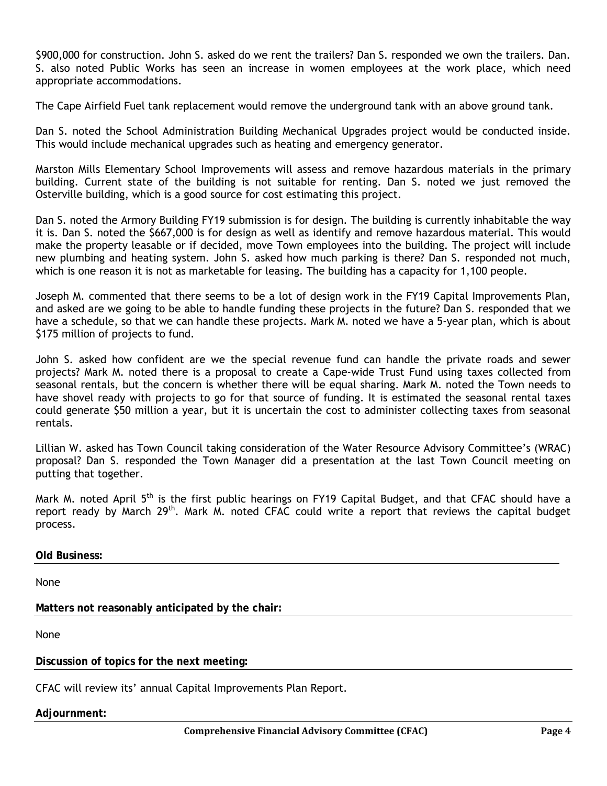\$900,000 for construction. John S. asked do we rent the trailers? Dan S. responded we own the trailers. Dan. S. also noted Public Works has seen an increase in women employees at the work place, which need appropriate accommodations.

The Cape Airfield Fuel tank replacement would remove the underground tank with an above ground tank.

Dan S. noted the School Administration Building Mechanical Upgrades project would be conducted inside. This would include mechanical upgrades such as heating and emergency generator.

Marston Mills Elementary School Improvements will assess and remove hazardous materials in the primary building. Current state of the building is not suitable for renting. Dan S. noted we just removed the Osterville building, which is a good source for cost estimating this project.

Dan S. noted the Armory Building FY19 submission is for design. The building is currently inhabitable the way it is. Dan S. noted the \$667,000 is for design as well as identify and remove hazardous material. This would make the property leasable or if decided, move Town employees into the building. The project will include new plumbing and heating system. John S. asked how much parking is there? Dan S. responded not much, which is one reason it is not as marketable for leasing. The building has a capacity for 1,100 people.

Joseph M. commented that there seems to be a lot of design work in the FY19 Capital Improvements Plan, and asked are we going to be able to handle funding these projects in the future? Dan S. responded that we have a schedule, so that we can handle these projects. Mark M. noted we have a 5-year plan, which is about \$175 million of projects to fund.

John S. asked how confident are we the special revenue fund can handle the private roads and sewer projects? Mark M. noted there is a proposal to create a Cape-wide Trust Fund using taxes collected from seasonal rentals, but the concern is whether there will be equal sharing. Mark M. noted the Town needs to have shovel ready with projects to go for that source of funding. It is estimated the seasonal rental taxes could generate \$50 million a year, but it is uncertain the cost to administer collecting taxes from seasonal rentals.

Lillian W. asked has Town Council taking consideration of the Water Resource Advisory Committee's (WRAC) proposal? Dan S. responded the Town Manager did a presentation at the last Town Council meeting on putting that together.

Mark M. noted April  $5<sup>th</sup>$  is the first public hearings on FY19 Capital Budget, and that CFAC should have a report ready by March 29<sup>th</sup>. Mark M. noted CFAC could write a report that reviews the capital budget process.

#### **Old Business:**

None

**Matters not reasonably anticipated by the chair:** 

None

**Discussion of topics for the next meeting:** 

CFAC will review its' annual Capital Improvements Plan Report.

#### **Adjournment:**